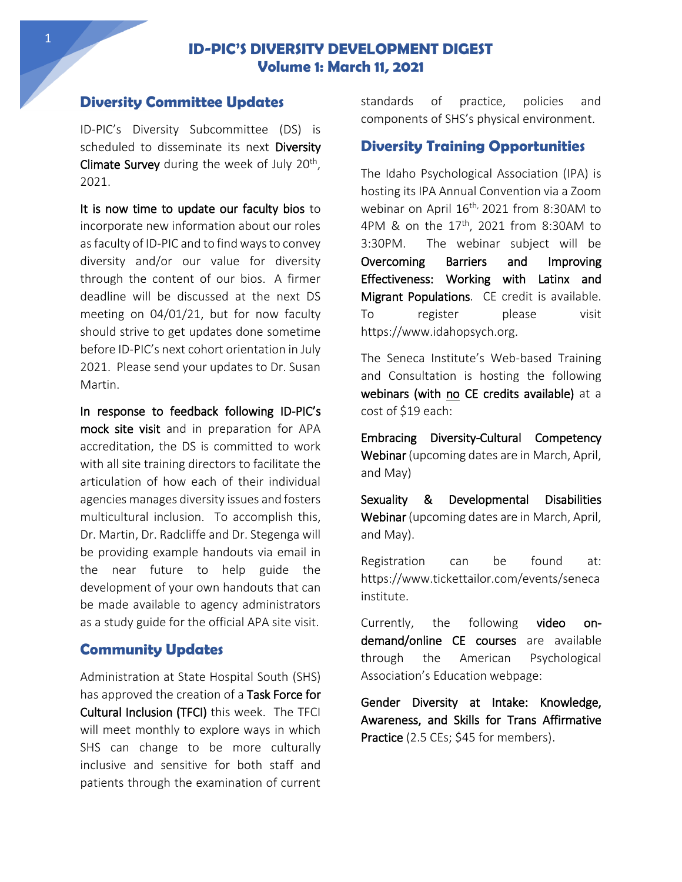## **ID-PIC'S DIVERSITY DEVELOPMENT DIGEST Volume 1: March 11, 2021**

### **Diversity Committee Updates**

ID-PIC's Diversity Subcommittee (DS) is scheduled to disseminate its next Diversity Climate Survey during the week of July 20<sup>th</sup>, 2021.

It is now time to update our faculty bios to incorporate new information about our roles as faculty of ID-PIC and to find ways to convey diversity and/or our value for diversity through the content of our bios. A firmer deadline will be discussed at the next DS meeting on 04/01/21, but for now faculty should strive to get updates done sometime before ID-PIC's next cohort orientation in July 2021. Please send your updates to Dr. Susan Martin.

In response to feedback following ID-PIC's mock site visit and in preparation for APA accreditation, the DS is committed to work with all site training directors to facilitate the articulation of how each of their individual agencies manages diversity issues and fosters multicultural inclusion. To accomplish this, Dr. Martin, Dr. Radcliffe and Dr. Stegenga will be providing example handouts via email in the near future to help guide the development of your own handouts that can be made available to agency administrators as a study guide for the official APA site visit.

### **Community Updates**

Administration at State Hospital South (SHS) has approved the creation of a Task Force for Cultural Inclusion (TFCI) this week. The TFCI will meet monthly to explore ways in which SHS can change to be more culturally inclusive and sensitive for both staff and patients through the examination of current

standards of practice, policies and components of SHS's physical environment.

#### **Diversity Training Opportunities**

The Idaho Psychological Association (IPA) is hosting its IPA Annual Convention via a Zoom webinar on April 16<sup>th,</sup> 2021 from 8:30AM to 4PM & on the  $17<sup>th</sup>$ , 2021 from 8:30AM to 3:30PM. The webinar subject will be Overcoming Barriers and Improving Effectiveness: Working with Latinx and Migrant Populations. CE credit is available. To register please visit https://www.idahopsych.org.

The Seneca Institute's Web-based Training and Consultation is hosting the following webinars (with no CE credits available) at a cost of \$19 each:

Embracing Diversity-Cultural Competency Webinar (upcoming dates are in March, April, and May)

Sexuality & Developmental Disabilities Webinar (upcoming dates are in March, April, and May).

Registration can be found at: https://www.tickettailor.com/events/seneca institute.

Currently, the following video ondemand/online CE courses are available through the American Psychological Association's Education webpage:

Gender Diversity at Intake: Knowledge, Awareness, and Skills for Trans Affirmative Practice (2.5 CEs; \$45 for members).